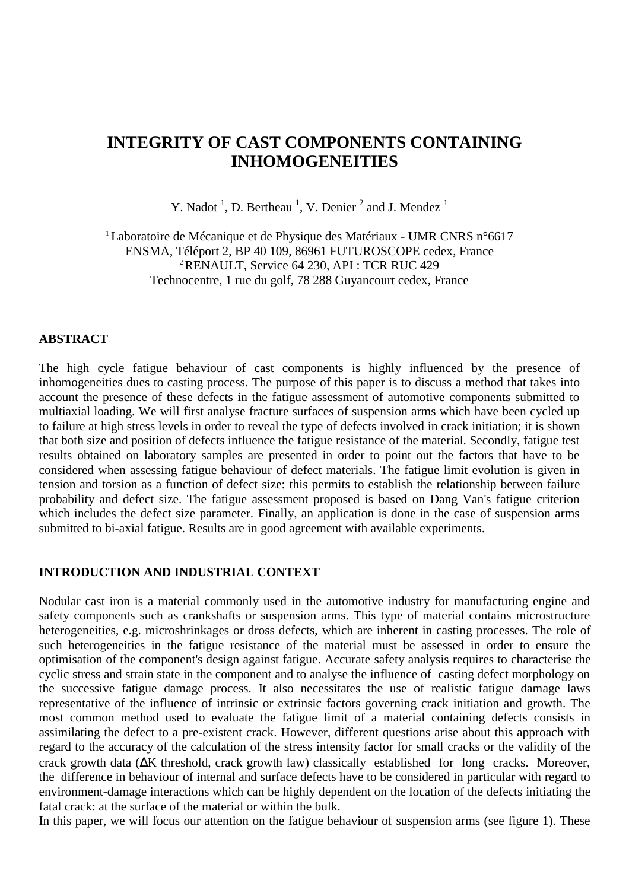# **INTEGRITY OF CAST COMPONENTS CONTAINING INHOMOGENEITIES**

Y. Nadot<sup>1</sup>, D. Bertheau<sup>1</sup>, V. Denier<sup>2</sup> and J. Mendez<sup>1</sup>

<sup>1</sup> Laboratoire de Mécanique et de Physique des Matériaux - UMR CNRS n°6617 ENSMA, Téléport 2, BP 40 109, 86961 FUTUROSCOPE cedex, France 2 RENAULT, Service 64 230, API : TCR RUC 429 Technocentre, 1 rue du golf, 78 288 Guyancourt cedex, France

### **ABSTRACT**

The high cycle fatigue behaviour of cast components is highly influenced by the presence of inhomogeneities dues to casting process. The purpose of this paper is to discuss a method that takes into account the presence of these defects in the fatigue assessment of automotive components submitted to multiaxial loading. We will first analyse fracture surfaces of suspension arms which have been cycled up to failure at high stress levels in order to reveal the type of defects involved in crack initiation; it is shown that both size and position of defects influence the fatigue resistance of the material. Secondly, fatigue test results obtained on laboratory samples are presented in order to point out the factors that have to be considered when assessing fatigue behaviour of defect materials. The fatigue limit evolution is given in tension and torsion as a function of defect size: this permits to establish the relationship between failure probability and defect size. The fatigue assessment proposed is based on Dang Van's fatigue criterion which includes the defect size parameter. Finally, an application is done in the case of suspension arms submitted to bi-axial fatigue. Results are in good agreement with available experiments.

#### **INTRODUCTION AND INDUSTRIAL CONTEXT**

Nodular cast iron is a material commonly used in the automotive industry for manufacturing engine and safety components such as crankshafts or suspension arms. This type of material contains microstructure heterogeneities, e.g. microshrinkages or dross defects, which are inherent in casting processes. The role of such heterogeneities in the fatigue resistance of the material must be assessed in order to ensure the optimisation of the component's design against fatigue. Accurate safety analysis requires to characterise the cyclic stress and strain state in the component and to analyse the influence of casting defect morphology on the successive fatigue damage process. It also necessitates the use of realistic fatigue damage laws representative of the influence of intrinsic or extrinsic factors governing crack initiation and growth. The most common method used to evaluate the fatigue limit of a material containing defects consists in assimilating the defect to a pre-existent crack. However, different questions arise about this approach with regard to the accuracy of the calculation of the stress intensity factor for small cracks or the validity of the crack growth data (∆K threshold, crack growth law) classically established for long cracks. Moreover, the difference in behaviour of internal and surface defects have to be considered in particular with regard to environment-damage interactions which can be highly dependent on the location of the defects initiating the fatal crack: at the surface of the material or within the bulk.

In this paper, we will focus our attention on the fatigue behaviour of suspension arms (see figure 1). These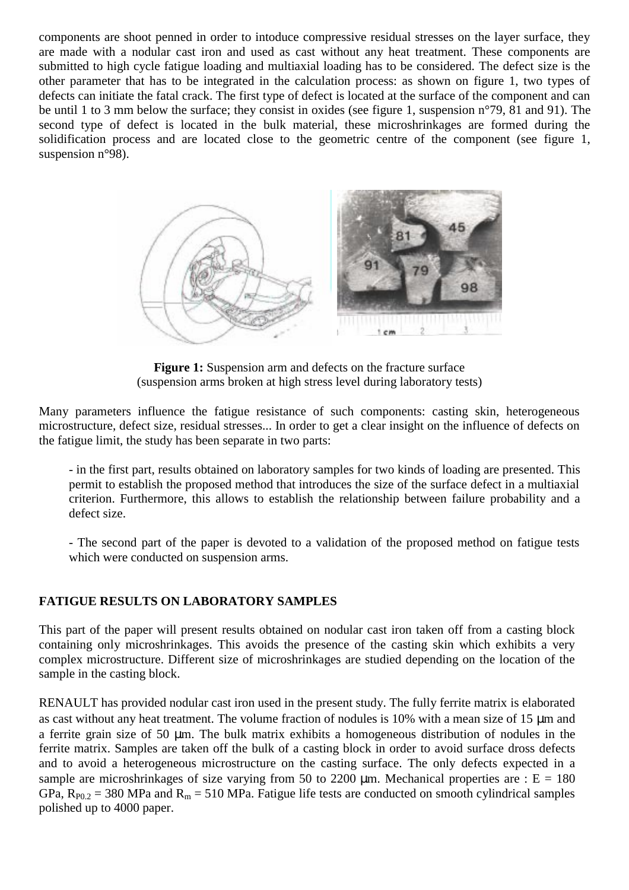components are shoot penned in order to intoduce compressive residual stresses on the layer surface, they are made with a nodular cast iron and used as cast without any heat treatment. These components are submitted to high cycle fatigue loading and multiaxial loading has to be considered. The defect size is the other parameter that has to be integrated in the calculation process: as shown on figure 1, two types of defects can initiate the fatal crack. The first type of defect is located at the surface of the component and can be until 1 to 3 mm below the surface; they consist in oxides (see figure 1, suspension n°79, 81 and 91). The second type of defect is located in the bulk material, these microshrinkages are formed during the solidification process and are located close to the geometric centre of the component (see figure 1, suspension n°98).



**Figure 1:** Suspension arm and defects on the fracture surface (suspension arms broken at high stress level during laboratory tests)

Many parameters influence the fatigue resistance of such components: casting skin, heterogeneous microstructure, defect size, residual stresses... In order to get a clear insight on the influence of defects on the fatigue limit, the study has been separate in two parts:

- in the first part, results obtained on laboratory samples for two kinds of loading are presented. This permit to establish the proposed method that introduces the size of the surface defect in a multiaxial criterion. Furthermore, this allows to establish the relationship between failure probability and a defect size.

- The second part of the paper is devoted to a validation of the proposed method on fatigue tests which were conducted on suspension arms.

# **FATIGUE RESULTS ON LABORATORY SAMPLES**

This part of the paper will present results obtained on nodular cast iron taken off from a casting block containing only microshrinkages. This avoids the presence of the casting skin which exhibits a very complex microstructure. Different size of microshrinkages are studied depending on the location of the sample in the casting block.

RENAULT has provided nodular cast iron used in the present study. The fully ferrite matrix is elaborated as cast without any heat treatment. The volume fraction of nodules is 10% with a mean size of 15 µm and a ferrite grain size of 50 µm. The bulk matrix exhibits a homogeneous distribution of nodules in the ferrite matrix. Samples are taken off the bulk of a casting block in order to avoid surface dross defects and to avoid a heterogeneous microstructure on the casting surface. The only defects expected in a sample are microshrinkages of size varying from 50 to 2200  $\mu$ m. Mechanical properties are : E = 180 GPa,  $R_{P0.2}$  = 380 MPa and  $R_m$  = 510 MPa. Fatigue life tests are conducted on smooth cylindrical samples polished up to 4000 paper.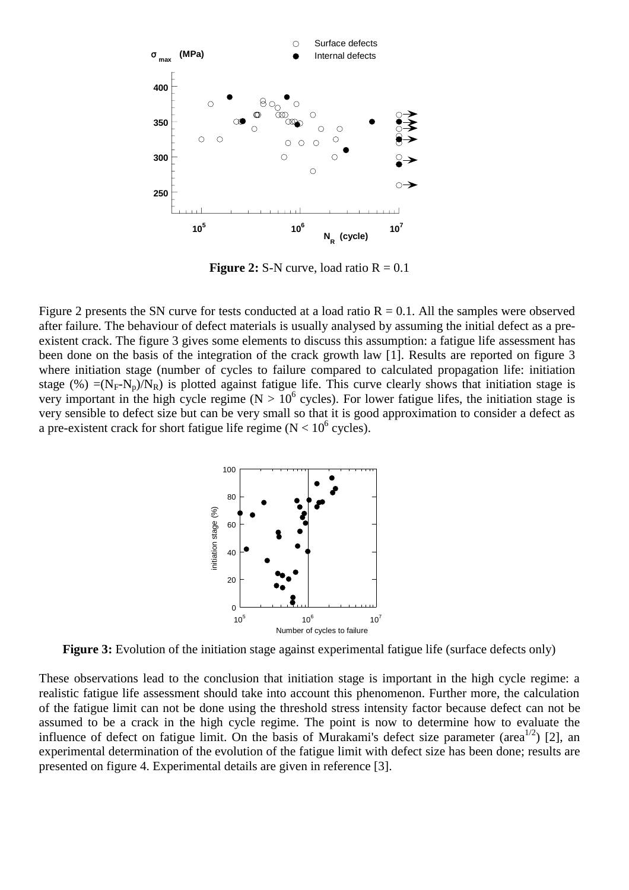

**Figure 2:** S-N curve, load ratio  $R = 0.1$ 

Figure 2 presents the SN curve for tests conducted at a load ratio  $R = 0.1$ . All the samples were observed after failure. The behaviour of defect materials is usually analysed by assuming the initial defect as a preexistent crack. The figure 3 gives some elements to discuss this assumption: a fatigue life assessment has been done on the basis of the integration of the crack growth law [1]. Results are reported on figure 3 where initiation stage (number of cycles to failure compared to calculated propagation life: initiation stage (%) =( $N_F-N_p/N_R$ ) is plotted against fatigue life. This curve clearly shows that initiation stage is very important in the high cycle regime ( $N > 10^6$  cycles). For lower fatigue lifes, the initiation stage is very sensible to defect size but can be very small so that it is good approximation to consider a defect as a pre-existent crack for short fatigue life regime ( $N < 10^6$  cycles).



**Figure 3:** Evolution of the initiation stage against experimental fatigue life (surface defects only)

These observations lead to the conclusion that initiation stage is important in the high cycle regime: a realistic fatigue life assessment should take into account this phenomenon. Further more, the calculation of the fatigue limit can not be done using the threshold stress intensity factor because defect can not be assumed to be a crack in the high cycle regime. The point is now to determine how to evaluate the influence of defect on fatigue limit. On the basis of Murakami's defect size parameter (area<sup>1/2</sup>) [2], an experimental determination of the evolution of the fatigue limit with defect size has been done; results are presented on figure 4. Experimental details are given in reference [3].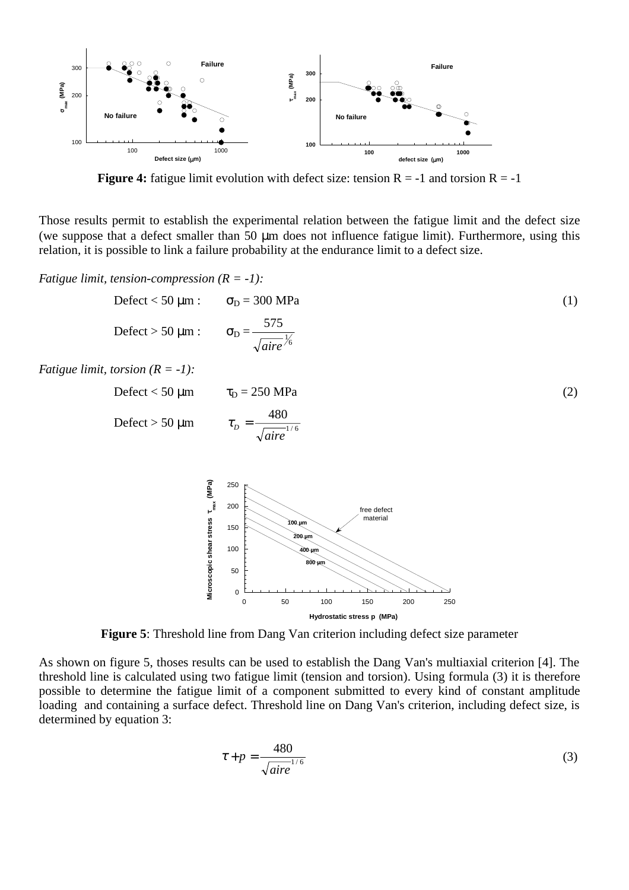

**Figure 4:** fatigue limit evolution with defect size: tension  $R = -1$  and torsion  $R = -1$ 

Those results permit to establish the experimental relation between the fatigue limit and the defect size (we suppose that a defect smaller than 50 µm does not influence fatigue limit). Furthermore, using this relation, it is possible to link a failure probability at the endurance limit to a defect size.

*Fatigue limit, tension-compression (R = -1):*

$$
\text{Defect} < 50 \text{ }\mu\text{m}: \qquad \sigma_{\text{D}} = 300 \text{ MPa}
$$
\n
$$
\text{Defect} > 50 \text{ }\mu\text{m}: \qquad \sigma_{\text{D}} = \frac{575}{\sqrt{\text{aire}}\frac{V_0}{6}} \tag{1}
$$

*Fatigue limit, torsion (R = -1):*

$$
\text{Defect} < 50 \text{ }\mu\text{m} \qquad \tau_{\text{D}} = 250 \text{ }\text{MPa}
$$
\n
$$
\text{Defect} > 50 \text{ }\mu\text{m} \qquad \tau_{\text{D}} = \frac{480}{\sqrt{\text{aire}^{1/6}}}
$$
\n
$$
\tag{2}
$$



**Figure 5**: Threshold line from Dang Van criterion including defect size parameter

As shown on figure 5, thoses results can be used to establish the Dang Van's multiaxial criterion [4]. The threshold line is calculated using two fatigue limit (tension and torsion). Using formula (3) it is therefore possible to determine the fatigue limit of a component submitted to every kind of constant amplitude loading and containing a surface defect. Threshold line on Dang Van's criterion, including defect size, is determined by equation 3:

$$
\tau + p = \frac{480}{\sqrt{aire}^{1/6}}
$$
 (3)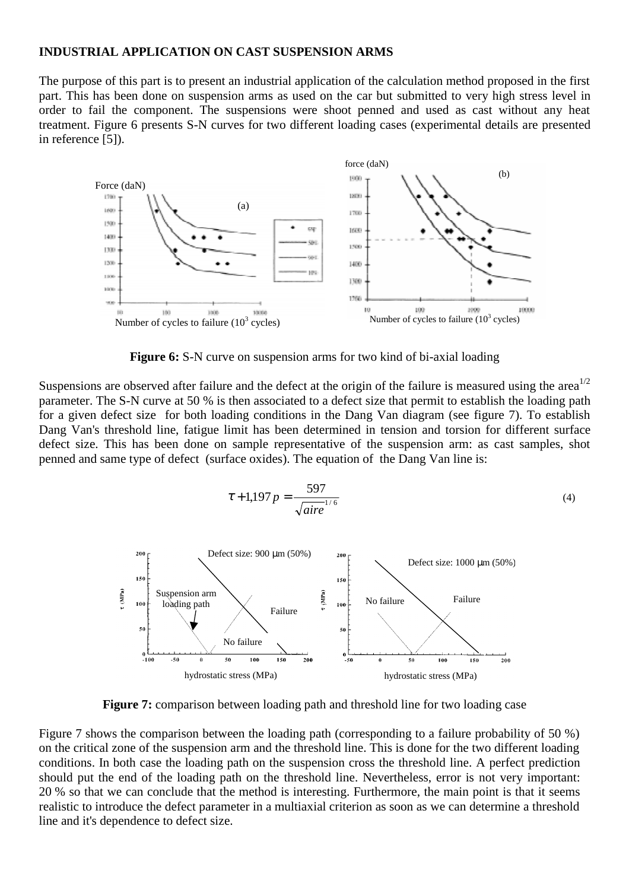#### **INDUSTRIAL APPLICATION ON CAST SUSPENSION ARMS**

The purpose of this part is to present an industrial application of the calculation method proposed in the first part. This has been done on suspension arms as used on the car but submitted to very high stress level in order to fail the component. The suspensions were shoot penned and used as cast without any heat treatment. Figure 6 presents S-N curves for two different loading cases (experimental details are presented in reference [5]).



**Figure 6:** S-N curve on suspension arms for two kind of bi-axial loading

Suspensions are observed after failure and the defect at the origin of the failure is measured using the area<sup>1/2</sup> parameter. The S-N curve at 50 % is then associated to a defect size that permit to establish the loading path for a given defect size for both loading conditions in the Dang Van diagram (see figure 7). To establish Dang Van's threshold line, fatigue limit has been determined in tension and torsion for different surface defect size. This has been done on sample representative of the suspension arm: as cast samples, shot penned and same type of defect (surface oxides). The equation of the Dang Van line is:



**Figure 7:** comparison between loading path and threshold line for two loading case

Figure 7 shows the comparison between the loading path (corresponding to a failure probability of 50 %) on the critical zone of the suspension arm and the threshold line. This is done for the two different loading conditions. In both case the loading path on the suspension cross the threshold line. A perfect prediction should put the end of the loading path on the threshold line. Nevertheless, error is not very important: 20 % so that we can conclude that the method is interesting. Furthermore, the main point is that it seems realistic to introduce the defect parameter in a multiaxial criterion as soon as we can determine a threshold line and it's dependence to defect size.